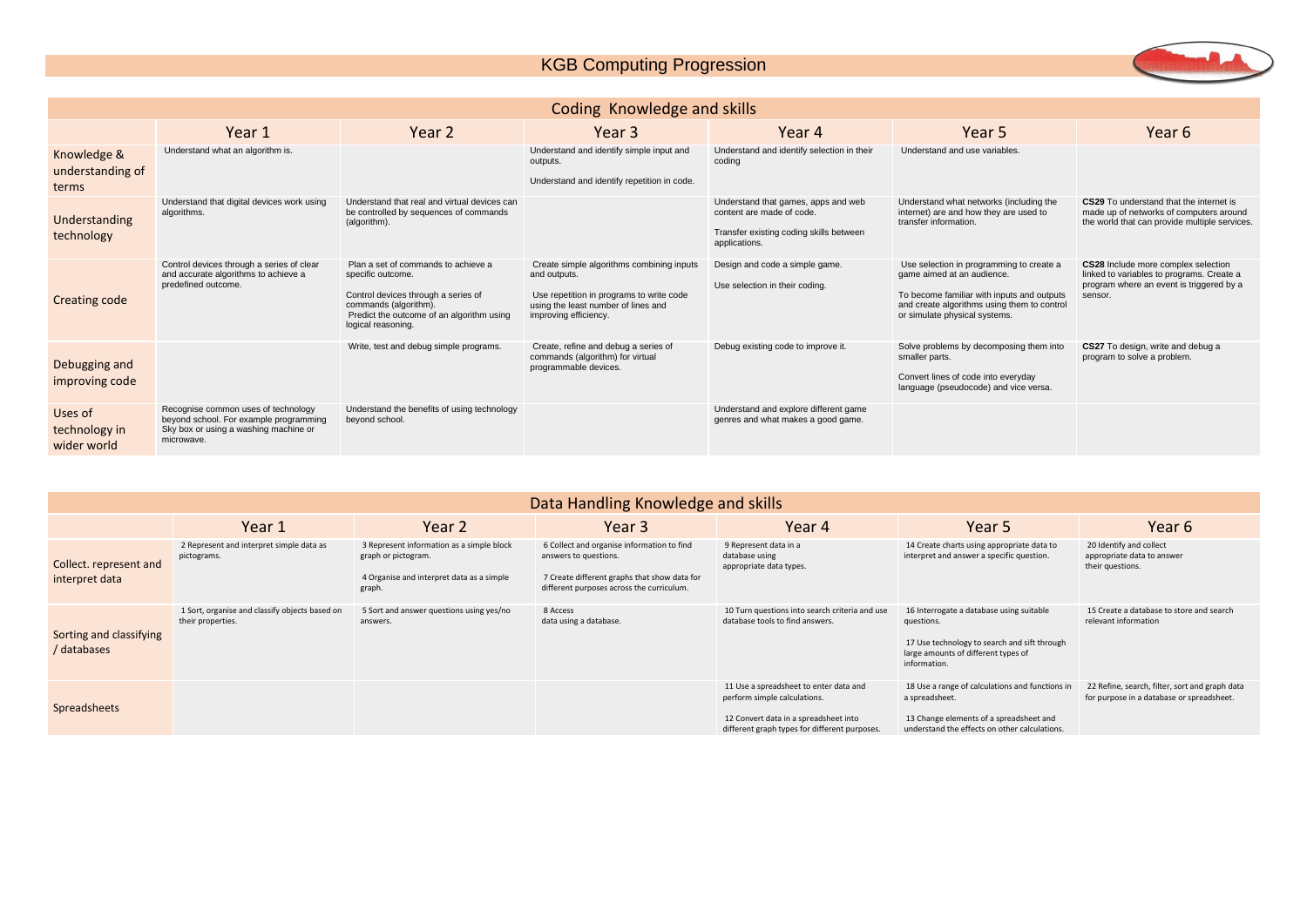## KGB Computing Progression

| Coding Knowledge and skills              |                                                                                                                                      |                                                                                                                                                                                             |                                                                                                                                                                       |                                                                                                                              |                                                                                                                                                                                                      |                                                                                                                                         |  |
|------------------------------------------|--------------------------------------------------------------------------------------------------------------------------------------|---------------------------------------------------------------------------------------------------------------------------------------------------------------------------------------------|-----------------------------------------------------------------------------------------------------------------------------------------------------------------------|------------------------------------------------------------------------------------------------------------------------------|------------------------------------------------------------------------------------------------------------------------------------------------------------------------------------------------------|-----------------------------------------------------------------------------------------------------------------------------------------|--|
|                                          | Year 1                                                                                                                               | Year 2                                                                                                                                                                                      | Year 3                                                                                                                                                                | Year 4                                                                                                                       | Year 5                                                                                                                                                                                               | Year 6                                                                                                                                  |  |
| Knowledge &<br>understanding of<br>terms | Understand what an algorithm is.                                                                                                     |                                                                                                                                                                                             | Understand and identify simple input and<br>outputs.<br>Understand and identify repetition in code.                                                                   | Understand and identify selection in their<br>coding                                                                         | Understand and use variables.                                                                                                                                                                        |                                                                                                                                         |  |
| <b>Understanding</b><br>technology       | Understand that digital devices work using<br>algorithms.                                                                            | Understand that real and virtual devices can<br>be controlled by sequences of commands<br>(algorithm).                                                                                      |                                                                                                                                                                       | Understand that games, apps and web<br>content are made of code.<br>Transfer existing coding skills between<br>applications. | Understand what networks (including the<br>internet) are and how they are used to<br>transfer information.                                                                                           | CS29 To understand that the internet is<br>made up of networks of computers around<br>the world that can provide multiple services.     |  |
| Creating code                            | Control devices through a series of clear<br>and accurate algorithms to achieve a<br>predefined outcome.                             | Plan a set of commands to achieve a<br>specific outcome.<br>Control devices through a series of<br>commands (algorithm).<br>Predict the outcome of an algorithm using<br>logical reasoning. | Create simple algorithms combining inputs<br>and outputs.<br>Use repetition in programs to write code<br>using the least number of lines and<br>improving efficiency. | Design and code a simple game.<br>Use selection in their coding.                                                             | Use selection in programming to create a<br>game aimed at an audience.<br>To become familiar with inputs and outputs<br>and create algorithms using them to control<br>or simulate physical systems. | CS28 Include more complex selection<br>linked to variables to programs. Create a<br>program where an event is triggered by a<br>sensor. |  |
| Debugging and<br>improving code          |                                                                                                                                      | Write, test and debug simple programs.                                                                                                                                                      | Create, refine and debug a series of<br>commands (algorithm) for virtual<br>programmable devices.                                                                     | Debug existing code to improve it.                                                                                           | Solve problems by decomposing them into<br>smaller parts.<br>Convert lines of code into everyday<br>language (pseudocode) and vice versa.                                                            | <b>CS27</b> To design, write and debug a<br>program to solve a problem.                                                                 |  |
| Uses of<br>technology in<br>wider world  | Recognise common uses of technology<br>beyond school. For example programming<br>Sky box or using a washing machine or<br>microwave. | Understand the benefits of using technology<br>bevond school.                                                                                                                               |                                                                                                                                                                       | Understand and explore different game<br>genres and what makes a good game.                                                  |                                                                                                                                                                                                      |                                                                                                                                         |  |

| Data Handling Knowledge and skills       |                                                                     |                                                                                                                         |                                                                                                                                                                  |                                                                                                                                                                  |                                                                                                                                                               |                                                                                             |
|------------------------------------------|---------------------------------------------------------------------|-------------------------------------------------------------------------------------------------------------------------|------------------------------------------------------------------------------------------------------------------------------------------------------------------|------------------------------------------------------------------------------------------------------------------------------------------------------------------|---------------------------------------------------------------------------------------------------------------------------------------------------------------|---------------------------------------------------------------------------------------------|
|                                          | Year 1                                                              | Year 2                                                                                                                  | Year 3                                                                                                                                                           | Year 4                                                                                                                                                           | Year 5                                                                                                                                                        | Year 6                                                                                      |
| Collect. represent and<br>interpret data | 2 Represent and interpret simple data as<br>pictograms.             | 3 Represent information as a simple block<br>graph or pictogram.<br>4 Organise and interpret data as a simple<br>graph. | 6 Collect and organise information to find<br>answers to questions.<br>7 Create different graphs that show data for<br>different purposes across the curriculum. | 9 Represent data in a<br>database using<br>appropriate data types.                                                                                               | 14 Create charts using appropriate data to<br>interpret and answer a specific question.                                                                       | 20 Identify and collect<br>appropriate data to answer<br>their questions.                   |
| Sorting and classifying<br>/ databases   | 1 Sort, organise and classify objects based on<br>their properties. | 5 Sort and answer questions using yes/no<br>answers.                                                                    | 8 Access<br>data using a database.                                                                                                                               | 10 Turn questions into search criteria and use<br>database tools to find answers.                                                                                | 16 Interrogate a database using suitable<br>questions.<br>17 Use technology to search and sift through<br>large amounts of different types of<br>information. | 15 Create a database to store and search<br>relevant information                            |
| Spreadsheets                             |                                                                     |                                                                                                                         |                                                                                                                                                                  | 11 Use a spreadsheet to enter data and<br>perform simple calculations.<br>12 Convert data in a spreadsheet into<br>different graph types for different purposes. | 18 Use a range of calculations and functions in<br>a spreadsheet.<br>13 Change elements of a spreadsheet and<br>understand the effects on other calculations. | 22 Refine, search, filter, sort and graph data<br>for purpose in a database or spreadsheet. |